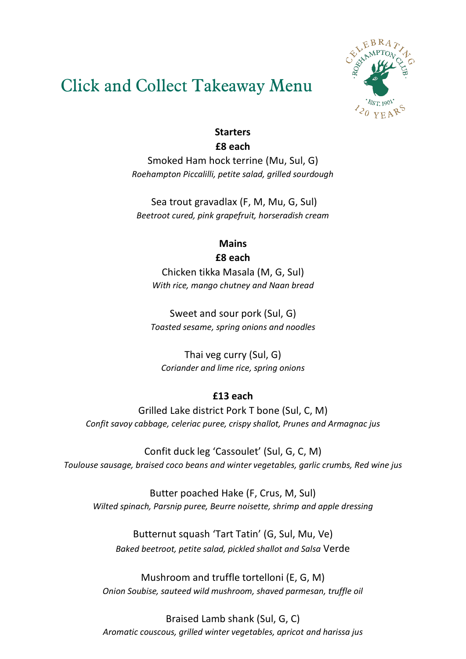## Click and Collect Takeaway Menu



### **Starters £8 each**

Smoked Ham hock terrine (Mu, Sul, G) *Roehampton Piccalilli, petite salad, grilled sourdough* 

Sea trout gravadlax (F, M, Mu, G, Sul) *Beetroot cured, pink grapefruit, horseradish cream*

# **Mains**

**£8 each**

Chicken tikka Masala (M, G, Sul) *With rice, mango chutney and Naan bread*

Sweet and sour pork (Sul, G) *Toasted sesame, spring onions and noodles*

Thai veg curry (Sul, G) *Coriander and lime rice, spring onions*

### **£13 each**

Grilled Lake district Pork T bone (Sul, C, M) *Confit savoy cabbage, celeriac puree, crispy shallot, Prunes and Armagnac jus*

Confit duck leg 'Cassoulet' (Sul, G, C, M) *Toulouse sausage, braised coco beans and winter vegetables, garlic crumbs, Red wine jus*

Butter poached Hake (F, Crus, M, Sul) *Wilted spinach, Parsnip puree, Beurre noisette, shrimp and apple dressing*

Butternut squash 'Tart Tatin' (G, Sul, Mu, Ve) *Baked beetroot, petite salad, pickled shallot and Salsa* Verde

Mushroom and truffle tortelloni (E, G, M) *Onion Soubise, sauteed wild mushroom, shaved parmesan, truffle oil* 

Braised Lamb shank (Sul, G, C) *Aromatic couscous, grilled winter vegetables, apricot and harissa jus*